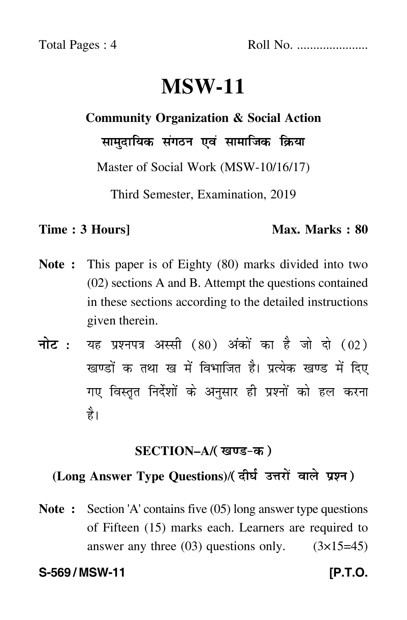# **MSW-11**

# **Community Organization & Social Action**

सामुदायिक संगठन एवं सामाजिक क्रिया

Master of Social Work (MSW-10/16/17)

Third Semester, Examination, 2019

### **Time : 3 Hours]** Max. Marks : 80

- **Note :** This paper is of Eighty (80) marks divided into two (02) sections A and B. Attempt the questions contained in these sections according to the detailed instructions given therein.
- नोट : यह प्रश्नपत्र अस्सी (80) अंकों का है जो दो (02) खण्डों क तथा ख में विभाजित है। प्रत्येक खण्ड में दिए गए विस्तृत निर्देशों के अनुसार ही प्रश्नों को हल करन<mark>ा</mark> है।

## <u>SECTION–A</u>/( खण्ड-क )

### (Long Answer Type Questions)/( दीर्घ उत्तरों वाले प्रश्न )  $\overline{a}$

**Note :** Section 'A' contains five (05) long answer type questions of Fifteen (15) marks each. Learners are required to answer any three  $(03)$  questions only.  $(3\times15=45)$ 

### **S-569 / MSW-11 [P.T.O.**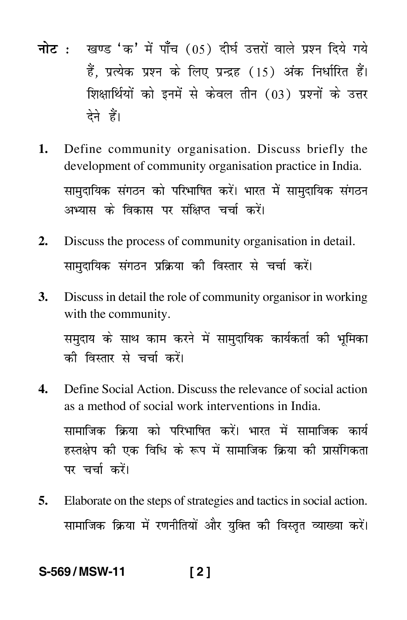- <mark>नोट</mark> : खण्ड 'क' में पाँच (05) दीर्घ उत्तरों वाले प्रश्न दिये गये हैं, प्रत्येक प्रश्न के लिए प्रन्द्रह (15) अंक निर्धारित हैं। शिक्षार्थियों को इनमें से केवल तीन (03) प्रश्नों के उत्तर देने हैं।
- **1.** Define community organisation. Discuss briefly the development of community organisation practice in India. सामुदायिक संगठन को परिभाषित करें। भारत में सामुदायिक संगठन --अभ्यास के विकास पर संक्षिप्त चर्चा करें।
- **2.** Discuss the process of community organisation in detail. सामुदायिक संगठन प्रक्रिया की विस्तार से चर्चा करें।
- **3.** Discuss in detail the role of community organisor in working with the community. समुदाय के साथ काम करने में सामुदायिक कार्यकर्ता की भूमिका की विस्तार से चर्चा करें।
- **4.** Define Social Action. Discuss the relevance of social action as a method of social work interventions in India. सामाजिक क्रिया को परिभाषित करें। भारत में सामाजिक कार्य --हस्तक्षेप की एक विधि के रूप में सामाजिक क्रिया की प्रासंगिकता पर चर्चा करें।
- **5.** Elaborate on the steps of strategies and tactics in social action. सामाजिक क्रिया में रणनीतियों और युक्ति की विस्तृत व्याख्या करें।  $\ddot{\phantom{a}}$

**S-569 / MSW-11 [ 2 ]**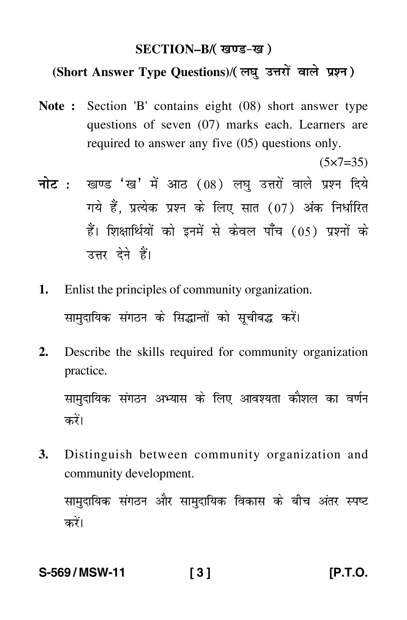## SECTION–B/( खण्ड-ख )

### (Short Answer Type Questions)/(लघु उत्तरों वाले प्रश्न)  $\ddot{\phantom{0}}$

**Note :** Section 'B' contains eight (08) short answer type questions of seven (07) marks each. Learners are required to answer any five (05) questions only.

 $(5 \times 7 = 35)$ 

- <mark>नोट</mark> : खण्ड 'ख' में आठ (08) लघु उत्तरों वाले प्रश्न दिये गये हैं, प्रत्येक प्रश्न के लिए सात (07) अंक निर्धारित हैं। शिक्षार्थियों को इनमें से केवल पाँच (05) प्रश्नों के उत्तर देने हैं।
- **1.** Enlist the principles of community organization. सामुदायिक संगठन के सिद्धान्तों को सूचीबद्ध करें।  $\ddot{\phantom{a}}$
- **2.** Describe the skills required for community organization practice.

सामुदायिक संगठन अभ्यास के लिए आवश्यता कौशल का वर्णन करें।

**3.** Distinguish between community organization and community development.

सामुदायिक संगठन और सामुदायिक विकास के बीच अंतर स्पष्ट करें।